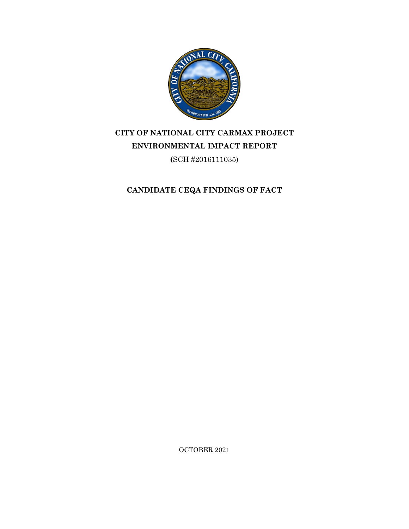

# **CITY OF NATIONAL CITY CARMAX PROJECT ENVIRONMENTAL IMPACT REPORT**

**(**SCH #2016111035)

**CANDIDATE CEQA FINDINGS OF FACT** 

OCTOBER 2021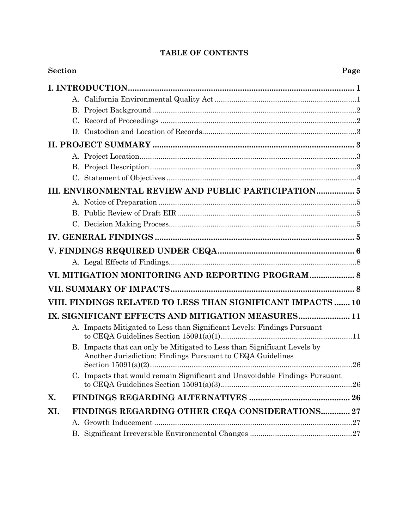# **TABLE OF CONTENTS**

| <b>Section</b> |                                                                                                                                        | Page    |
|----------------|----------------------------------------------------------------------------------------------------------------------------------------|---------|
|                |                                                                                                                                        |         |
|                |                                                                                                                                        |         |
|                |                                                                                                                                        |         |
|                |                                                                                                                                        |         |
|                |                                                                                                                                        |         |
|                |                                                                                                                                        |         |
|                |                                                                                                                                        |         |
|                |                                                                                                                                        |         |
|                |                                                                                                                                        |         |
|                | III. ENVIRONMENTAL REVIEW AND PUBLIC PARTICIPATION 5                                                                                   |         |
|                |                                                                                                                                        |         |
|                |                                                                                                                                        |         |
|                |                                                                                                                                        |         |
|                |                                                                                                                                        |         |
|                |                                                                                                                                        |         |
|                |                                                                                                                                        |         |
|                | VI. MITIGATION MONITORING AND REPORTING PROGRAM 8                                                                                      |         |
|                |                                                                                                                                        |         |
|                | VIII. FINDINGS RELATED TO LESS THAN SIGNIFICANT IMPACTS  10                                                                            |         |
|                | IX. SIGNIFICANT EFFECTS AND MITIGATION MEASURES 11                                                                                     |         |
|                | A. Impacts Mitigated to Less than Significant Levels: Findings Pursuant                                                                |         |
|                | B. Impacts that can only be Mitigated to Less than Significant Levels by<br>Another Jurisdiction: Findings Pursuant to CEQA Guidelines | $.26\,$ |
|                | C. Impacts that would remain Significant and Unavoidable Findings Pursuant                                                             |         |
| X.             |                                                                                                                                        |         |
| XI.            | FINDINGS REGARDING OTHER CEQA CONSIDERATIONS 27                                                                                        |         |
|                | А.                                                                                                                                     |         |
|                |                                                                                                                                        |         |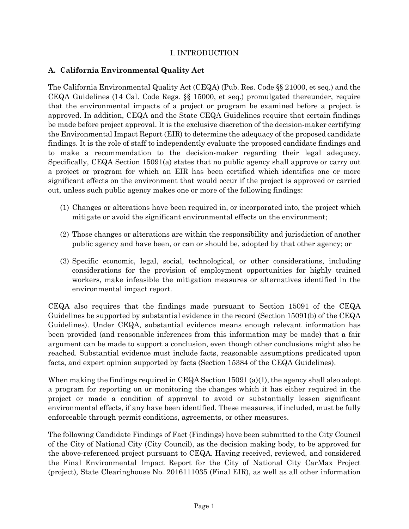# I. INTRODUCTION

# **A. California Environmental Quality Act**

The California Environmental Quality Act (CEQA) (Pub. Res. Code §§ 21000, et seq.) and the CEQA Guidelines (14 Cal. Code Regs. §§ 15000, et seq.) promulgated thereunder, require that the environmental impacts of a project or program be examined before a project is approved. In addition, CEQA and the State CEQA Guidelines require that certain findings be made before project approval. It is the exclusive discretion of the decision-maker certifying the Environmental Impact Report (EIR) to determine the adequacy of the proposed candidate findings. It is the role of staff to independently evaluate the proposed candidate findings and to make a recommendation to the decision-maker regarding their legal adequacy. Specifically, CEQA Section 15091(a) states that no public agency shall approve or carry out a project or program for which an EIR has been certified which identifies one or more significant effects on the environment that would occur if the project is approved or carried out, unless such public agency makes one or more of the following findings:

- (1) Changes or alterations have been required in, or incorporated into, the project which mitigate or avoid the significant environmental effects on the environment;
- (2) Those changes or alterations are within the responsibility and jurisdiction of another public agency and have been, or can or should be, adopted by that other agency; or
- (3) Specific economic, legal, social, technological, or other considerations, including considerations for the provision of employment opportunities for highly trained workers, make infeasible the mitigation measures or alternatives identified in the environmental impact report.

CEQA also requires that the findings made pursuant to Section 15091 of the CEQA Guidelines be supported by substantial evidence in the record (Section 15091(b) of the CEQA Guidelines). Under CEQA, substantial evidence means enough relevant information has been provided (and reasonable inferences from this information may be made) that a fair argument can be made to support a conclusion, even though other conclusions might also be reached. Substantial evidence must include facts, reasonable assumptions predicated upon facts, and expert opinion supported by facts (Section 15384 of the CEQA Guidelines).

When making the findings required in CEQA Section 15091 (a)(1), the agency shall also adopt a program for reporting on or monitoring the changes which it has either required in the project or made a condition of approval to avoid or substantially lessen significant environmental effects, if any have been identified. These measures, if included, must be fully enforceable through permit conditions, agreements, or other measures.

The following Candidate Findings of Fact (Findings) have been submitted to the City Council of the City of National City (City Council), as the decision making body, to be approved for the above-referenced project pursuant to CEQA. Having received, reviewed, and considered the Final Environmental Impact Report for the City of National City CarMax Project (project), State Clearinghouse No. 2016111035 (Final EIR), as well as all other information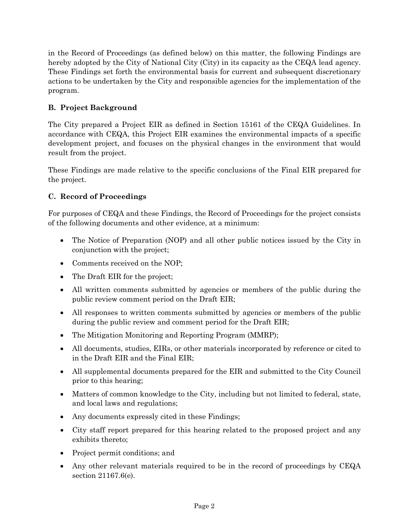in the Record of Proceedings (as defined below) on this matter, the following Findings are hereby adopted by the City of National City (City) in its capacity as the CEQA lead agency. These Findings set forth the environmental basis for current and subsequent discretionary actions to be undertaken by the City and responsible agencies for the implementation of the program.

# **B. Project Background**

The City prepared a Project EIR as defined in Section 15161 of the CEQA Guidelines. In accordance with CEQA, this Project EIR examines the environmental impacts of a specific development project, and focuses on the physical changes in the environment that would result from the project.

These Findings are made relative to the specific conclusions of the Final EIR prepared for the project.

# **C. Record of Proceedings**

For purposes of CEQA and these Findings, the Record of Proceedings for the project consists of the following documents and other evidence, at a minimum:

- The Notice of Preparation (NOP) and all other public notices issued by the City in conjunction with the project;
- Comments received on the NOP;
- The Draft EIR for the project;
- All written comments submitted by agencies or members of the public during the public review comment period on the Draft EIR;
- All responses to written comments submitted by agencies or members of the public during the public review and comment period for the Draft EIR;
- The Mitigation Monitoring and Reporting Program (MMRP);
- All documents, studies, EIRs, or other materials incorporated by reference or cited to in the Draft EIR and the Final EIR;
- All supplemental documents prepared for the EIR and submitted to the City Council prior to this hearing;
- Matters of common knowledge to the City, including but not limited to federal, state, and local laws and regulations;
- Any documents expressly cited in these Findings;
- City staff report prepared for this hearing related to the proposed project and any exhibits thereto;
- Project permit conditions; and
- Any other relevant materials required to be in the record of proceedings by CEQA section 21167.6(e).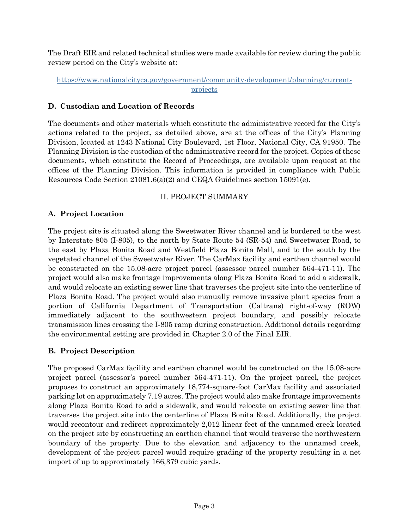The Draft EIR and related technical studies were made available for review during the public review period on the City's website at:

### [https://www.nationalcityca.gov/government/community-development/planning/current](https://www.nationalcityca.gov/government/community-development/planning/current-projects)[projects](https://www.nationalcityca.gov/government/community-development/planning/current-projects)

### **D. Custodian and Location of Records**

The documents and other materials which constitute the administrative record for the City's actions related to the project, as detailed above, are at the offices of the City's Planning Division, located at 1243 National City Boulevard, 1st Floor, National City, CA 91950. The Planning Division is the custodian of the administrative record for the project. Copies of these documents, which constitute the Record of Proceedings, are available upon request at the offices of the Planning Division. This information is provided in compliance with Public Resources Code Section 21081.6(a)(2) and CEQA Guidelines section 15091(e).

# II. PROJECT SUMMARY

# **A. Project Location**

The project site is situated along the Sweetwater River channel and is bordered to the west by Interstate 805 (I-805), to the north by State Route 54 (SR-54) and Sweetwater Road, to the east by Plaza Bonita Road and Westfield Plaza Bonita Mall, and to the south by the vegetated channel of the Sweetwater River. The CarMax facility and earthen channel would be constructed on the 15.08-acre project parcel (assessor parcel number 564-471-11). The project would also make frontage improvements along Plaza Bonita Road to add a sidewalk, and would relocate an existing sewer line that traverses the project site into the centerline of Plaza Bonita Road. The project would also manually remove invasive plant species from a portion of California Department of Transportation (Caltrans) right-of-way (ROW) immediately adjacent to the southwestern project boundary, and possibly relocate transmission lines crossing the I-805 ramp during construction. Additional details regarding the environmental setting are provided in Chapter 2.0 of the Final EIR.

#### **B. Project Description**

The proposed CarMax facility and earthen channel would be constructed on the 15.08-acre project parcel (assessor's parcel number 564-471-11). On the project parcel, the project proposes to construct an approximately 18,774-square-foot CarMax facility and associated parking lot on approximately 7.19 acres. The project would also make frontage improvements along Plaza Bonita Road to add a sidewalk, and would relocate an existing sewer line that traverses the project site into the centerline of Plaza Bonita Road. Additionally, the project would recontour and redirect approximately 2,012 linear feet of the unnamed creek located on the project site by constructing an earthen channel that would traverse the northwestern boundary of the property. Due to the elevation and adjacency to the unnamed creek, development of the project parcel would require grading of the property resulting in a net import of up to approximately 166,379 cubic yards.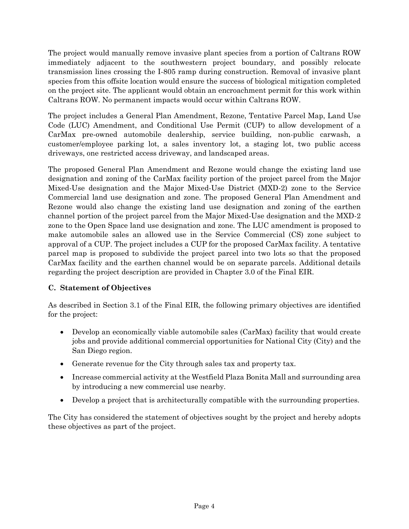The project would manually remove invasive plant species from a portion of Caltrans ROW immediately adjacent to the southwestern project boundary, and possibly relocate transmission lines crossing the I-805 ramp during construction. Removal of invasive plant species from this offsite location would ensure the success of biological mitigation completed on the project site. The applicant would obtain an encroachment permit for this work within Caltrans ROW. No permanent impacts would occur within Caltrans ROW.

The project includes a General Plan Amendment, Rezone, Tentative Parcel Map, Land Use Code (LUC) Amendment, and Conditional Use Permit (CUP) to allow development of a CarMax pre-owned automobile dealership, service building, non-public carwash, a customer/employee parking lot, a sales inventory lot, a staging lot, two public access driveways, one restricted access driveway, and landscaped areas.

The proposed General Plan Amendment and Rezone would change the existing land use designation and zoning of the CarMax facility portion of the project parcel from the Major Mixed-Use designation and the Major Mixed-Use District (MXD-2) zone to the Service Commercial land use designation and zone. The proposed General Plan Amendment and Rezone would also change the existing land use designation and zoning of the earthen channel portion of the project parcel from the Major Mixed-Use designation and the MXD-2 zone to the Open Space land use designation and zone. The LUC amendment is proposed to make automobile sales an allowed use in the Service Commercial (CS) zone subject to approval of a CUP. The project includes a CUP for the proposed CarMax facility. A tentative parcel map is proposed to subdivide the project parcel into two lots so that the proposed CarMax facility and the earthen channel would be on separate parcels. Additional details regarding the project description are provided in Chapter 3.0 of the Final EIR.

# **C. Statement of Objectives**

As described in Section 3.1 of the Final EIR, the following primary objectives are identified for the project:

- Develop an economically viable automobile sales (CarMax) facility that would create jobs and provide additional commercial opportunities for National City (City) and the San Diego region.
- Generate revenue for the City through sales tax and property tax.
- Increase commercial activity at the Westfield Plaza Bonita Mall and surrounding area by introducing a new commercial use nearby.
- Develop a project that is architecturally compatible with the surrounding properties.

The City has considered the statement of objectives sought by the project and hereby adopts these objectives as part of the project.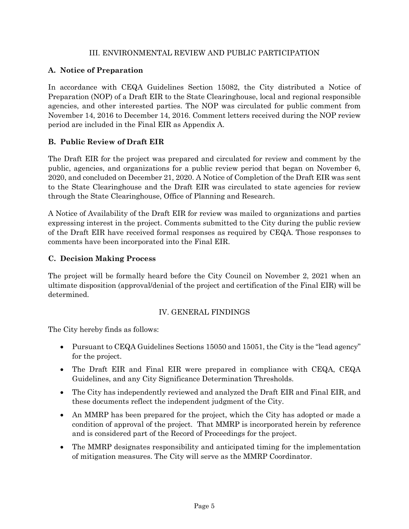### III. ENVIRONMENTAL REVIEW AND PUBLIC PARTICIPATION

# **A. Notice of Preparation**

In accordance with CEQA Guidelines Section 15082, the City distributed a Notice of Preparation (NOP) of a Draft EIR to the State Clearinghouse, local and regional responsible agencies, and other interested parties. The NOP was circulated for public comment from November 14, 2016 to December 14, 2016. Comment letters received during the NOP review period are included in the Final EIR as Appendix A.

# **B. Public Review of Draft EIR**

The Draft EIR for the project was prepared and circulated for review and comment by the public, agencies, and organizations for a public review period that began on November 6, 2020, and concluded on December 21, 2020. A Notice of Completion of the Draft EIR was sent to the State Clearinghouse and the Draft EIR was circulated to state agencies for review through the State Clearinghouse, Office of Planning and Research.

A Notice of Availability of the Draft EIR for review was mailed to organizations and parties expressing interest in the project. Comments submitted to the City during the public review of the Draft EIR have received formal responses as required by CEQA. Those responses to comments have been incorporated into the Final EIR.

# **C. Decision Making Process**

The project will be formally heard before the City Council on November 2, 2021 when an ultimate disposition (approval/denial of the project and certification of the Final EIR) will be determined.

# IV. GENERAL FINDINGS

The City hereby finds as follows:

- Pursuant to CEQA Guidelines Sections 15050 and 15051, the City is the "lead agency" for the project.
- The Draft EIR and Final EIR were prepared in compliance with CEQA, CEQA Guidelines, and any City Significance Determination Thresholds.
- The City has independently reviewed and analyzed the Draft EIR and Final EIR, and these documents reflect the independent judgment of the City.
- An MMRP has been prepared for the project, which the City has adopted or made a condition of approval of the project. That MMRP is incorporated herein by reference and is considered part of the Record of Proceedings for the project.
- The MMRP designates responsibility and anticipated timing for the implementation of mitigation measures. The City will serve as the MMRP Coordinator.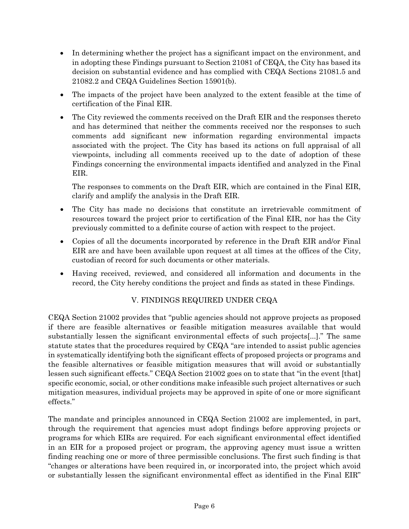- In determining whether the project has a significant impact on the environment, and in adopting these Findings pursuant to Section 21081 of CEQA, the City has based its decision on substantial evidence and has complied with CEQA Sections 21081.5 and 21082.2 and CEQA Guidelines Section 15901(b).
- The impacts of the project have been analyzed to the extent feasible at the time of certification of the Final EIR.
- The City reviewed the comments received on the Draft EIR and the responses thereto and has determined that neither the comments received nor the responses to such comments add significant new information regarding environmental impacts associated with the project. The City has based its actions on full appraisal of all viewpoints, including all comments received up to the date of adoption of these Findings concerning the environmental impacts identified and analyzed in the Final EIR.

The responses to comments on the Draft EIR, which are contained in the Final EIR, clarify and amplify the analysis in the Draft EIR.

- The City has made no decisions that constitute an irretrievable commitment of resources toward the project prior to certification of the Final EIR, nor has the City previously committed to a definite course of action with respect to the project.
- Copies of all the documents incorporated by reference in the Draft EIR and/or Final EIR are and have been available upon request at all times at the offices of the City, custodian of record for such documents or other materials.
- Having received, reviewed, and considered all information and documents in the record, the City hereby conditions the project and finds as stated in these Findings.

# V. FINDINGS REQUIRED UNDER CEQA

CEQA Section 21002 provides that "public agencies should not approve projects as proposed if there are feasible alternatives or feasible mitigation measures available that would substantially lessen the significant environmental effects of such projects[...]." The same statute states that the procedures required by CEQA "are intended to assist public agencies in systematically identifying both the significant effects of proposed projects or programs and the feasible alternatives or feasible mitigation measures that will avoid or substantially lessen such significant effects." CEQA Section 21002 goes on to state that "in the event [that] specific economic, social, or other conditions make infeasible such project alternatives or such mitigation measures, individual projects may be approved in spite of one or more significant effects."

The mandate and principles announced in CEQA Section 21002 are implemented, in part, through the requirement that agencies must adopt findings before approving projects or programs for which EIRs are required. For each significant environmental effect identified in an EIR for a proposed project or program, the approving agency must issue a written finding reaching one or more of three permissible conclusions. The first such finding is that "changes or alterations have been required in, or incorporated into, the project which avoid or substantially lessen the significant environmental effect as identified in the Final EIR"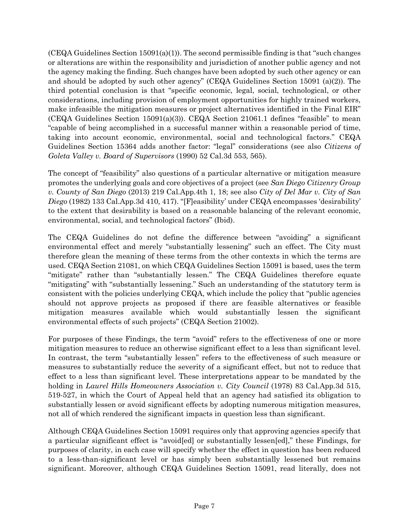$(CEQA$  Guidelines Section  $15091(a)(1)$ . The second permissible finding is that "such changes" or alterations are within the responsibility and jurisdiction of another public agency and not the agency making the finding. Such changes have been adopted by such other agency or can and should be adopted by such other agency" (CEQA Guidelines Section 15091 (a)(2)). The third potential conclusion is that "specific economic, legal, social, technological, or other considerations, including provision of employment opportunities for highly trained workers, make infeasible the mitigation measures or project alternatives identified in the Final EIR" (CEQA Guidelines Section 15091(a)(3)). CEQA Section 21061.1 defines "feasible" to mean "capable of being accomplished in a successful manner within a reasonable period of time, taking into account economic, environmental, social and technological factors." CEQA Guidelines Section 15364 adds another factor: "legal" considerations (see also *Citizens of Goleta Valley v. Board of Supervisors* (1990) 52 Cal.3d 553, 565).

The concept of "feasibility" also questions of a particular alternative or mitigation measure promotes the underlying goals and core objectives of a project (see *San Diego Citizenry Group v. County of San Diego* (2013) 219 Cal.App.4th 1, 18; see also *City of Del Mar v. City of San Diego* (1982) 133 Cal.App.3d 410, 417). "[F]easibility' under CEQA encompasses 'desirability' to the extent that desirability is based on a reasonable balancing of the relevant economic, environmental, social, and technological factors" (Ibid).

The CEQA Guidelines do not define the difference between "avoiding" a significant environmental effect and merely "substantially lessening" such an effect. The City must therefore glean the meaning of these terms from the other contexts in which the terms are used. CEQA Section 21081, on which CEQA Guidelines Section 15091 is based, uses the term "mitigate" rather than "substantially lessen." The CEQA Guidelines therefore equate "mitigating" with "substantially lessening." Such an understanding of the statutory term is consistent with the policies underlying CEQA, which include the policy that "public agencies should not approve projects as proposed if there are feasible alternatives or feasible mitigation measures available which would substantially lessen the significant environmental effects of such projects" (CEQA Section 21002).

For purposes of these Findings, the term "avoid" refers to the effectiveness of one or more mitigation measures to reduce an otherwise significant effect to a less than significant level. In contrast, the term "substantially lessen" refers to the effectiveness of such measure or measures to substantially reduce the severity of a significant effect, but not to reduce that effect to a less than significant level. These interpretations appear to be mandated by the holding in *Laurel Hills Homeowners Association v. City Council* (1978) 83 Cal.App.3d 515, 519-527, in which the Court of Appeal held that an agency had satisfied its obligation to substantially lessen or avoid significant effects by adopting numerous mitigation measures, not all of which rendered the significant impacts in question less than significant.

Although CEQA Guidelines Section 15091 requires only that approving agencies specify that a particular significant effect is "avoid[ed] or substantially lessen[ed]," these Findings, for purposes of clarity, in each case will specify whether the effect in question has been reduced to a less-than-significant level or has simply been substantially lessened but remains significant. Moreover, although CEQA Guidelines Section 15091, read literally, does not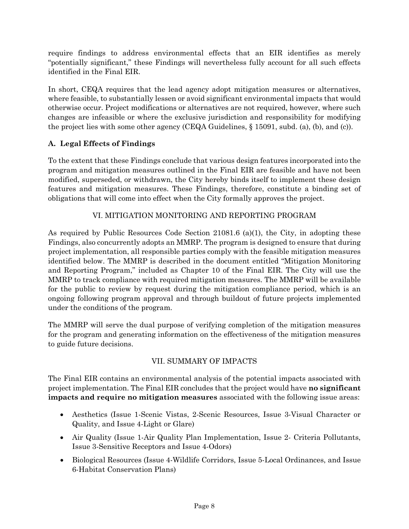require findings to address environmental effects that an EIR identifies as merely "potentially significant," these Findings will nevertheless fully account for all such effects identified in the Final EIR.

In short, CEQA requires that the lead agency adopt mitigation measures or alternatives, where feasible, to substantially lessen or avoid significant environmental impacts that would otherwise occur. Project modifications or alternatives are not required, however, where such changes are infeasible or where the exclusive jurisdiction and responsibility for modifying the project lies with some other agency (CEQA Guidelines, § 15091, subd. (a), (b), and (c)).

# **A. Legal Effects of Findings**

To the extent that these Findings conclude that various design features incorporated into the program and mitigation measures outlined in the Final EIR are feasible and have not been modified, superseded, or withdrawn, the City hereby binds itself to implement these design features and mitigation measures. These Findings, therefore, constitute a binding set of obligations that will come into effect when the City formally approves the project.

# VI. MITIGATION MONITORING AND REPORTING PROGRAM

As required by Public Resources Code Section 21081.6 (a)(1), the City, in adopting these Findings, also concurrently adopts an MMRP. The program is designed to ensure that during project implementation, all responsible parties comply with the feasible mitigation measures identified below. The MMRP is described in the document entitled "Mitigation Monitoring and Reporting Program," included as Chapter 10 of the Final EIR. The City will use the MMRP to track compliance with required mitigation measures. The MMRP will be available for the public to review by request during the mitigation compliance period, which is an ongoing following program approval and through buildout of future projects implemented under the conditions of the program.

The MMRP will serve the dual purpose of verifying completion of the mitigation measures for the program and generating information on the effectiveness of the mitigation measures to guide future decisions.

# VII. SUMMARY OF IMPACTS

The Final EIR contains an environmental analysis of the potential impacts associated with project implementation. The Final EIR concludes that the project would have **no significant impacts and require no mitigation measures** associated with the following issue areas:

- Aesthetics (Issue 1-Scenic Vistas, 2-Scenic Resources, Issue 3-Visual Character or Quality, and Issue 4-Light or Glare)
- Air Quality (Issue 1-Air Quality Plan Implementation, Issue 2- Criteria Pollutants, Issue 3-Sensitive Receptors and Issue 4-Odors)
- Biological Resources (Issue 4-Wildlife Corridors, Issue 5-Local Ordinances, and Issue 6-Habitat Conservation Plans)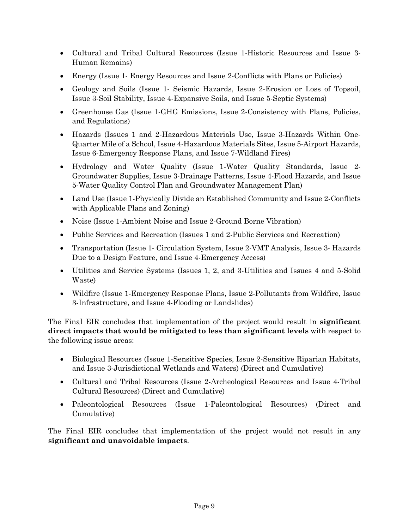- Cultural and Tribal Cultural Resources (Issue 1-Historic Resources and Issue 3- Human Remains)
- Energy (Issue 1- Energy Resources and Issue 2-Conflicts with Plans or Policies)
- Geology and Soils (Issue 1- Seismic Hazards, Issue 2-Erosion or Loss of Topsoil, Issue 3-Soil Stability, Issue 4-Expansive Soils, and Issue 5-Septic Systems)
- Greenhouse Gas (Issue 1-GHG Emissions, Issue 2-Consistency with Plans, Policies, and Regulations)
- Hazards (Issues 1 and 2-Hazardous Materials Use, Issue 3-Hazards Within One-Quarter Mile of a School, Issue 4-Hazardous Materials Sites, Issue 5-Airport Hazards, Issue 6-Emergency Response Plans, and Issue 7-Wildland Fires)
- Hydrology and Water Quality (Issue 1-Water Quality Standards, Issue 2- Groundwater Supplies, Issue 3-Drainage Patterns, Issue 4-Flood Hazards, and Issue 5-Water Quality Control Plan and Groundwater Management Plan)
- Land Use (Issue 1-Physically Divide an Established Community and Issue 2-Conflicts with Applicable Plans and Zoning)
- Noise (Issue 1-Ambient Noise and Issue 2-Ground Borne Vibration)
- Public Services and Recreation (Issues 1 and 2-Public Services and Recreation)
- Transportation (Issue 1- Circulation System, Issue 2-VMT Analysis, Issue 3- Hazards Due to a Design Feature, and Issue 4-Emergency Access)
- Utilities and Service Systems (Issues 1, 2, and 3-Utilities and Issues 4 and 5-Solid Waste)
- Wildfire (Issue 1-Emergency Response Plans, Issue 2-Pollutants from Wildfire, Issue 3-Infrastructure, and Issue 4-Flooding or Landslides)

The Final EIR concludes that implementation of the project would result in **significant direct impacts that would be mitigated to less than significant levels** with respect to the following issue areas:

- Biological Resources (Issue 1-Sensitive Species, Issue 2-Sensitive Riparian Habitats, and Issue 3-Jurisdictional Wetlands and Waters) (Direct and Cumulative)
- Cultural and Tribal Resources (Issue 2-Archeological Resources and Issue 4-Tribal Cultural Resources) (Direct and Cumulative)
- Paleontological Resources (Issue 1-Paleontological Resources) (Direct and Cumulative)

The Final EIR concludes that implementation of the project would not result in any **significant and unavoidable impacts**.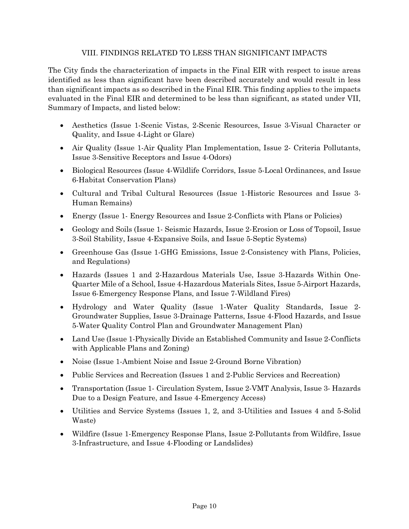#### VIII. FINDINGS RELATED TO LESS THAN SIGNIFICANT IMPACTS

The City finds the characterization of impacts in the Final EIR with respect to issue areas identified as less than significant have been described accurately and would result in less than significant impacts as so described in the Final EIR. This finding applies to the impacts evaluated in the Final EIR and determined to be less than significant, as stated under VII, Summary of Impacts, and listed below:

- Aesthetics (Issue 1-Scenic Vistas, 2-Scenic Resources, Issue 3-Visual Character or Quality, and Issue 4-Light or Glare)
- Air Quality (Issue 1-Air Quality Plan Implementation, Issue 2- Criteria Pollutants, Issue 3-Sensitive Receptors and Issue 4-Odors)
- Biological Resources (Issue 4-Wildlife Corridors, Issue 5-Local Ordinances, and Issue 6-Habitat Conservation Plans)
- Cultural and Tribal Cultural Resources (Issue 1-Historic Resources and Issue 3- Human Remains)
- Energy (Issue 1- Energy Resources and Issue 2-Conflicts with Plans or Policies)
- Geology and Soils (Issue 1- Seismic Hazards, Issue 2-Erosion or Loss of Topsoil, Issue 3-Soil Stability, Issue 4-Expansive Soils, and Issue 5-Septic Systems)
- Greenhouse Gas (Issue 1-GHG Emissions, Issue 2-Consistency with Plans, Policies, and Regulations)
- Hazards (Issues 1 and 2-Hazardous Materials Use, Issue 3-Hazards Within One-Quarter Mile of a School, Issue 4-Hazardous Materials Sites, Issue 5-Airport Hazards, Issue 6-Emergency Response Plans, and Issue 7-Wildland Fires)
- Hydrology and Water Quality (Issue 1-Water Quality Standards, Issue 2- Groundwater Supplies, Issue 3-Drainage Patterns, Issue 4-Flood Hazards, and Issue 5-Water Quality Control Plan and Groundwater Management Plan)
- Land Use (Issue 1-Physically Divide an Established Community and Issue 2-Conflicts with Applicable Plans and Zoning)
- Noise (Issue 1-Ambient Noise and Issue 2-Ground Borne Vibration)
- Public Services and Recreation (Issues 1 and 2-Public Services and Recreation)
- Transportation (Issue 1- Circulation System, Issue 2-VMT Analysis, Issue 3- Hazards Due to a Design Feature, and Issue 4-Emergency Access)
- Utilities and Service Systems (Issues 1, 2, and 3-Utilities and Issues 4 and 5-Solid Waste)
- Wildfire (Issue 1-Emergency Response Plans, Issue 2-Pollutants from Wildfire, Issue 3-Infrastructure, and Issue 4-Flooding or Landslides)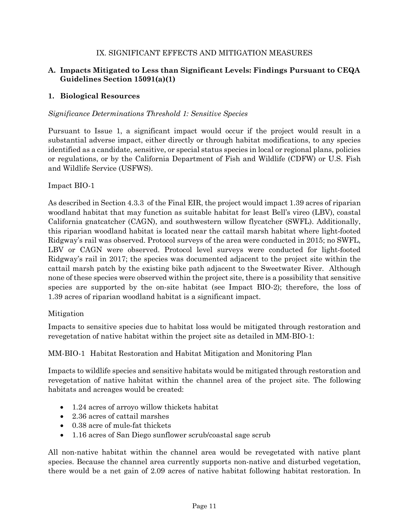# IX. SIGNIFICANT EFFECTS AND MITIGATION MEASURES

# **A. Impacts Mitigated to Less than Significant Levels: Findings Pursuant to CEQA Guidelines Section 15091(a)(1)**

#### **1. Biological Resources**

#### *Significance Determinations Threshold 1: Sensitive Species*

Pursuant to Issue 1, a significant impact would occur if the project would result in a substantial adverse impact, either directly or through habitat modifications, to any species identified as a candidate, sensitive, or special status species in local or regional plans, policies or regulations, or by the California Department of Fish and Wildlife (CDFW) or U.S. Fish and Wildlife Service (USFWS).

#### Impact BIO-1

As described in Section 4.3.3 of the Final EIR, the project would impact 1.39 acres of riparian woodland habitat that may function as suitable habitat for least Bell's vireo (LBV), coastal California gnatcatcher (CAGN), and southwestern willow flycatcher (SWFL). Additionally, this riparian woodland habitat is located near the cattail marsh habitat where light‐footed Ridgway's rail was observed. Protocol surveys of the area were conducted in 2015; no SWFL, LBV or CAGN were observed. Protocol level surveys were conducted for light-footed Ridgway's rail in 2017; the species was documented adjacent to the project site within the cattail marsh patch by the existing bike path adjacent to the Sweetwater River. Although none of these species were observed within the project site, there is a possibility that sensitive species are supported by the on-site habitat (see Impact BIO-2); therefore, the loss of 1.39 acres of riparian woodland habitat is a significant impact.

#### Mitigation

Impacts to sensitive species due to habitat loss would be mitigated through restoration and revegetation of native habitat within the project site as detailed in MM-BIO-1:

#### MM-BIO-1 Habitat Restoration and Habitat Mitigation and Monitoring Plan

Impacts to wildlife species and sensitive habitats would be mitigated through restoration and revegetation of native habitat within the channel area of the project site. The following habitats and acreages would be created:

- 1.24 acres of arroyo willow thickets habitat
- 2.36 acres of cattail marshes
- 0.38 acre of mule-fat thickets
- 1.16 acres of San Diego sunflower scrub/coastal sage scrub

All non-native habitat within the channel area would be revegetated with native plant species. Because the channel area currently supports non-native and disturbed vegetation, there would be a net gain of 2.09 acres of native habitat following habitat restoration. In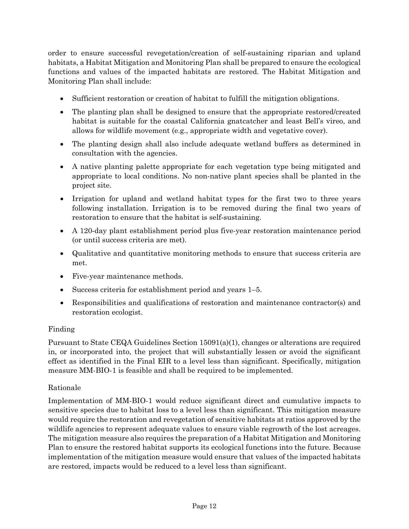order to ensure successful revegetation/creation of self‐sustaining riparian and upland habitats, a Habitat Mitigation and Monitoring Plan shall be prepared to ensure the ecological functions and values of the impacted habitats are restored. The Habitat Mitigation and Monitoring Plan shall include:

- Sufficient restoration or creation of habitat to fulfill the mitigation obligations.
- The planting plan shall be designed to ensure that the appropriate restored/created habitat is suitable for the coastal California gnatcatcher and least Bell's vireo, and allows for wildlife movement (e.g., appropriate width and vegetative cover).
- The planting design shall also include adequate wetland buffers as determined in consultation with the agencies.
- A native planting palette appropriate for each vegetation type being mitigated and appropriate to local conditions. No non-native plant species shall be planted in the project site.
- Irrigation for upland and wetland habitat types for the first two to three years following installation. Irrigation is to be removed during the final two years of restoration to ensure that the habitat is self‐sustaining.
- A 120-day plant establishment period plus five-year restoration maintenance period (or until success criteria are met).
- Qualitative and quantitative monitoring methods to ensure that success criteria are met.
- Five-year maintenance methods.
- Success criteria for establishment period and years 1–5.
- Responsibilities and qualifications of restoration and maintenance contractor(s) and restoration ecologist.

# Finding

Pursuant to State CEQA Guidelines Section 15091(a)(1), changes or alterations are required in, or incorporated into, the project that will substantially lessen or avoid the significant effect as identified in the Final EIR to a level less than significant. Specifically, mitigation measure MM-BIO-1 is feasible and shall be required to be implemented.

#### Rationale

Implementation of MM-BIO-1 would reduce significant direct and cumulative impacts to sensitive species due to habitat loss to a level less than significant. This mitigation measure would require the restoration and revegetation of sensitive habitats at ratios approved by the wildlife agencies to represent adequate values to ensure viable regrowth of the lost acreages. The mitigation measure also requires the preparation of a Habitat Mitigation and Monitoring Plan to ensure the restored habitat supports its ecological functions into the future. Because implementation of the mitigation measure would ensure that values of the impacted habitats are restored, impacts would be reduced to a level less than significant.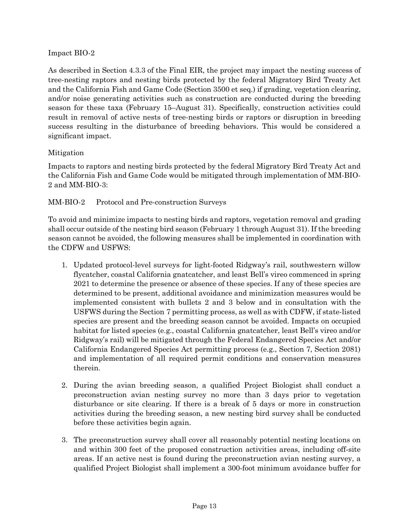### Impact BIO-2

As described in Section 4.3.3 of the Final EIR, the project may impact the nesting success of tree-nesting raptors and nesting birds protected by the federal Migratory Bird Treaty Act and the California Fish and Game Code (Section 3500 et seq.) if grading, vegetation clearing, and/or noise generating activities such as construction are conducted during the breeding season for these taxa (February 15–August 31). Specifically, construction activities could result in removal of active nests of tree-nesting birds or raptors or disruption in breeding success resulting in the disturbance of breeding behaviors. This would be considered a significant impact.

# Mitigation

Impacts to raptors and nesting birds protected by the federal Migratory Bird Treaty Act and the California Fish and Game Code would be mitigated through implementation of MM-BIO-2 and MM-BIO-3:

# MM-BIO-2 Protocol and Pre-construction Surveys

To avoid and minimize impacts to nesting birds and raptors, vegetation removal and grading shall occur outside of the nesting bird season (February 1 through August 31). If the breeding season cannot be avoided, the following measures shall be implemented in coordination with the CDFW and USFWS:

- 1. Updated protocol-level surveys for light-footed Ridgway's rail, southwestern willow flycatcher, coastal California gnatcatcher, and least Bell's vireo commenced in spring 2021 to determine the presence or absence of these species. If any of these species are determined to be present, additional avoidance and minimization measures would be implemented consistent with bullets 2 and 3 below and in consultation with the USFWS during the Section 7 permitting process, as well as with CDFW, if state-listed species are present and the breeding season cannot be avoided. Impacts on occupied habitat for listed species (e.g., coastal California gnatcatcher, least Bell's vireo and/or Ridgway's rail) will be mitigated through the Federal Endangered Species Act and/or California Endangered Species Act permitting process (e.g., Section 7, Section 2081) and implementation of all required permit conditions and conservation measures therein.
- 2. During the avian breeding season, a qualified Project Biologist shall conduct a preconstruction avian nesting survey no more than 3 days prior to vegetation disturbance or site clearing. If there is a break of 5 days or more in construction activities during the breeding season, a new nesting bird survey shall be conducted before these activities begin again.
- 3. The preconstruction survey shall cover all reasonably potential nesting locations on and within 300 feet of the proposed construction activities areas, including off-site areas. If an active nest is found during the preconstruction avian nesting survey, a qualified Project Biologist shall implement a 300‐foot minimum avoidance buffer for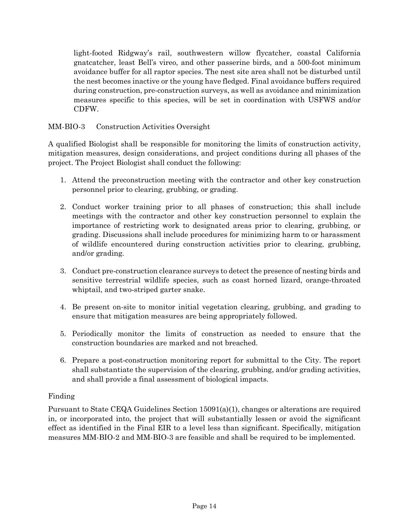light-footed Ridgway's rail, southwestern willow flycatcher, coastal California gnatcatcher, least Bell's vireo, and other passerine birds, and a 500‐foot minimum avoidance buffer for all raptor species. The nest site area shall not be disturbed until the nest becomes inactive or the young have fledged. Final avoidance buffers required during construction, pre-construction surveys, as well as avoidance and minimization measures specific to this species, will be set in coordination with USFWS and/or CDFW.

# MM-BIO-3 Construction Activities Oversight

A qualified Biologist shall be responsible for monitoring the limits of construction activity, mitigation measures, design considerations, and project conditions during all phases of the project. The Project Biologist shall conduct the following:

- 1. Attend the preconstruction meeting with the contractor and other key construction personnel prior to clearing, grubbing, or grading.
- 2. Conduct worker training prior to all phases of construction; this shall include meetings with the contractor and other key construction personnel to explain the importance of restricting work to designated areas prior to clearing, grubbing, or grading. Discussions shall include procedures for minimizing harm to or harassment of wildlife encountered during construction activities prior to clearing, grubbing, and/or grading.
- 3. Conduct pre-construction clearance surveys to detect the presence of nesting birds and sensitive terrestrial wildlife species, such as coast horned lizard, orange‐throated whiptail, and two-striped garter snake.
- 4. Be present on-site to monitor initial vegetation clearing, grubbing, and grading to ensure that mitigation measures are being appropriately followed.
- 5. Periodically monitor the limits of construction as needed to ensure that the construction boundaries are marked and not breached.
- 6. Prepare a post‐construction monitoring report for submittal to the City. The report shall substantiate the supervision of the clearing, grubbing, and/or grading activities, and shall provide a final assessment of biological impacts.

#### Finding

Pursuant to State CEQA Guidelines Section 15091(a)(1), changes or alterations are required in, or incorporated into, the project that will substantially lessen or avoid the significant effect as identified in the Final EIR to a level less than significant. Specifically, mitigation measures MM-BIO-2 and MM-BIO-3 are feasible and shall be required to be implemented.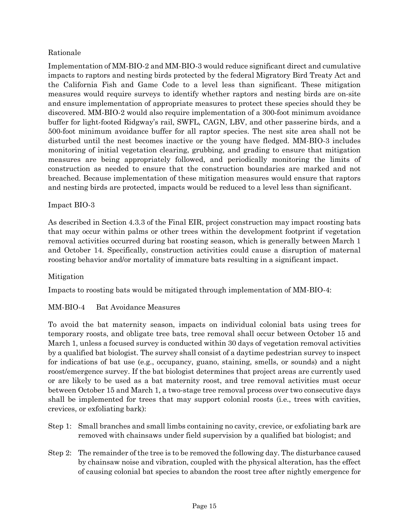# Rationale

Implementation of MM-BIO-2 and MM-BIO-3 would reduce significant direct and cumulative impacts to raptors and nesting birds protected by the federal Migratory Bird Treaty Act and the California Fish and Game Code to a level less than significant. These mitigation measures would require surveys to identify whether raptors and nesting birds are on-site and ensure implementation of appropriate measures to protect these species should they be discovered. MM-BIO-2 would also require implementation of a 300‐foot minimum avoidance buffer for light-footed Ridgway's rail, SWFL, CAGN, LBV, and other passerine birds, and a 500‐foot minimum avoidance buffer for all raptor species. The nest site area shall not be disturbed until the nest becomes inactive or the young have fledged. MM-BIO-3 includes monitoring of initial vegetation clearing, grubbing, and grading to ensure that mitigation measures are being appropriately followed, and periodically monitoring the limits of construction as needed to ensure that the construction boundaries are marked and not breached. Because implementation of these mitigation measures would ensure that raptors and nesting birds are protected, impacts would be reduced to a level less than significant.

#### Impact BIO-3

As described in Section 4.3.3 of the Final EIR, project construction may impact roosting bats that may occur within palms or other trees within the development footprint if vegetation removal activities occurred during bat roosting season, which is generally between March 1 and October 14. Specifically, construction activities could cause a disruption of maternal roosting behavior and/or mortality of immature bats resulting in a significant impact.

#### Mitigation

Impacts to roosting bats would be mitigated through implementation of MM-BIO-4:

#### MM-BIO-4 Bat Avoidance Measures

To avoid the bat maternity season, impacts on individual colonial bats using trees for temporary roosts, and obligate tree bats, tree removal shall occur between October 15 and March 1, unless a focused survey is conducted within 30 days of vegetation removal activities by a qualified bat biologist. The survey shall consist of a daytime pedestrian survey to inspect for indications of bat use (e.g., occupancy, guano, staining, smells, or sounds) and a night roost/emergence survey. If the bat biologist determines that project areas are currently used or are likely to be used as a bat maternity roost, and tree removal activities must occur between October 15 and March 1, a two-stage tree removal process over two consecutive days shall be implemented for trees that may support colonial roosts (i.e., trees with cavities, crevices, or exfoliating bark):

- Step 1: Small branches and small limbs containing no cavity, crevice, or exfoliating bark are removed with chainsaws under field supervision by a qualified bat biologist; and
- Step 2: The remainder of the tree is to be removed the following day. The disturbance caused by chainsaw noise and vibration, coupled with the physical alteration, has the effect of causing colonial bat species to abandon the roost tree after nightly emergence for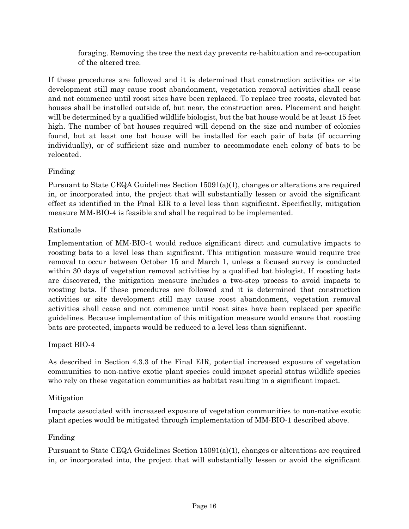foraging. Removing the tree the next day prevents re-habituation and re-occupation of the altered tree.

If these procedures are followed and it is determined that construction activities or site development still may cause roost abandonment, vegetation removal activities shall cease and not commence until roost sites have been replaced. To replace tree roosts, elevated bat houses shall be installed outside of, but near, the construction area. Placement and height will be determined by a qualified wildlife biologist, but the bat house would be at least 15 feet high. The number of bat houses required will depend on the size and number of colonies found, but at least one bat house will be installed for each pair of bats (if occurring individually), or of sufficient size and number to accommodate each colony of bats to be relocated.

# Finding

Pursuant to State CEQA Guidelines Section 15091(a)(1), changes or alterations are required in, or incorporated into, the project that will substantially lessen or avoid the significant effect as identified in the Final EIR to a level less than significant. Specifically, mitigation measure MM-BIO-4 is feasible and shall be required to be implemented.

# Rationale

Implementation of MM-BIO-4 would reduce significant direct and cumulative impacts to roosting bats to a level less than significant. This mitigation measure would require tree removal to occur between October 15 and March 1, unless a focused survey is conducted within 30 days of vegetation removal activities by a qualified bat biologist. If roosting bats are discovered, the mitigation measure includes a two-step process to avoid impacts to roosting bats. If these procedures are followed and it is determined that construction activities or site development still may cause roost abandonment, vegetation removal activities shall cease and not commence until roost sites have been replaced per specific guidelines. Because implementation of this mitigation measure would ensure that roosting bats are protected, impacts would be reduced to a level less than significant.

#### Impact BIO-4

As described in Section 4.3.3 of the Final EIR, potential increased exposure of vegetation communities to non-native exotic plant species could impact special status wildlife species who rely on these vegetation communities as habitat resulting in a significant impact.

# Mitigation

Impacts associated with increased exposure of vegetation communities to non-native exotic plant species would be mitigated through implementation of MM-BIO-1 described above.

# Finding

Pursuant to State CEQA Guidelines Section 15091(a)(1), changes or alterations are required in, or incorporated into, the project that will substantially lessen or avoid the significant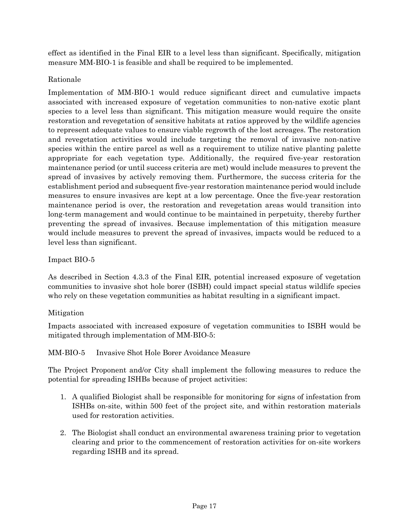effect as identified in the Final EIR to a level less than significant. Specifically, mitigation measure MM-BIO-1 is feasible and shall be required to be implemented.

# Rationale

Implementation of MM-BIO-1 would reduce significant direct and cumulative impacts associated with increased exposure of vegetation communities to non-native exotic plant species to a level less than significant. This mitigation measure would require the onsite restoration and revegetation of sensitive habitats at ratios approved by the wildlife agencies to represent adequate values to ensure viable regrowth of the lost acreages. The restoration and revegetation activities would include targeting the removal of invasive non-native species within the entire parcel as well as a requirement to utilize native planting palette appropriate for each vegetation type. Additionally, the required five-year restoration maintenance period (or until success criteria are met) would include measures to prevent the spread of invasives by actively removing them. Furthermore, the success criteria for the establishment period and subsequent five-year restoration maintenance period would include measures to ensure invasives are kept at a low percentage. Once the five-year restoration maintenance period is over, the restoration and revegetation areas would transition into long-term management and would continue to be maintained in perpetuity, thereby further preventing the spread of invasives. Because implementation of this mitigation measure would include measures to prevent the spread of invasives, impacts would be reduced to a level less than significant.

#### Impact BIO-5

As described in Section 4.3.3 of the Final EIR, potential increased exposure of vegetation communities to invasive shot hole borer (ISBH) could impact special status wildlife species who rely on these vegetation communities as habitat resulting in a significant impact.

#### Mitigation

Impacts associated with increased exposure of vegetation communities to ISBH would be mitigated through implementation of MM-BIO-5:

MM-BIO-5 Invasive Shot Hole Borer Avoidance Measure

The Project Proponent and/or City shall implement the following measures to reduce the potential for spreading ISHBs because of project activities:

- 1. A qualified Biologist shall be responsible for monitoring for signs of infestation from ISHBs on-site, within 500 feet of the project site, and within restoration materials used for restoration activities.
- 2. The Biologist shall conduct an environmental awareness training prior to vegetation clearing and prior to the commencement of restoration activities for on-site workers regarding ISHB and its spread.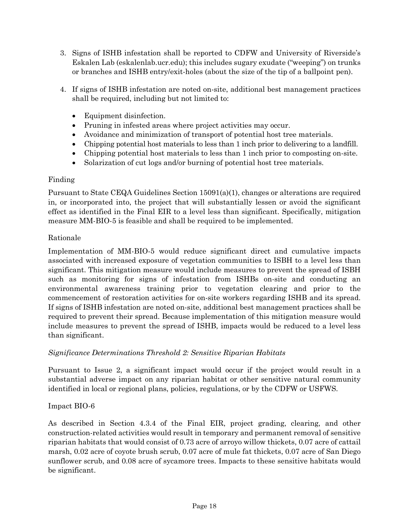- 3. Signs of ISHB infestation shall be reported to CDFW and University of Riverside's Eskalen Lab (eskalenlab.ucr.edu); this includes sugary exudate ("weeping") on trunks or branches and ISHB entry/exit-holes (about the size of the tip of a ballpoint pen).
- 4. If signs of ISHB infestation are noted on-site, additional best management practices shall be required, including but not limited to:
	- Equipment disinfection.
	- Pruning in infested areas where project activities may occur.
	- Avoidance and minimization of transport of potential host tree materials.
	- Chipping potential host materials to less than 1 inch prior to delivering to a landfill.
	- Chipping potential host materials to less than 1 inch prior to composting on-site.
	- Solarization of cut logs and/or burning of potential host tree materials.

# Finding

Pursuant to State CEQA Guidelines Section 15091(a)(1), changes or alterations are required in, or incorporated into, the project that will substantially lessen or avoid the significant effect as identified in the Final EIR to a level less than significant. Specifically, mitigation measure MM-BIO-5 is feasible and shall be required to be implemented.

# Rationale

Implementation of MM-BIO-5 would reduce significant direct and cumulative impacts associated with increased exposure of vegetation communities to ISBH to a level less than significant. This mitigation measure would include measures to prevent the spread of ISBH such as monitoring for signs of infestation from ISHBs on-site and conducting an environmental awareness training prior to vegetation clearing and prior to the commencement of restoration activities for on-site workers regarding ISHB and its spread. If signs of ISHB infestation are noted on-site, additional best management practices shall be required to prevent their spread. Because implementation of this mitigation measure would include measures to prevent the spread of ISHB, impacts would be reduced to a level less than significant.

# *Significance Determinations Threshold 2: Sensitive Riparian Habitats*

Pursuant to Issue 2, a significant impact would occur if the project would result in a substantial adverse impact on any riparian habitat or other sensitive natural community identified in local or regional plans, policies, regulations, or by the CDFW or USFWS.

# Impact BIO-6

As described in Section 4.3.4 of the Final EIR, project grading, clearing, and other construction-related activities would result in temporary and permanent removal of sensitive riparian habitats that would consist of 0.73 acre of arroyo willow thickets, 0.07 acre of cattail marsh, 0.02 acre of coyote brush scrub, 0.07 acre of mule fat thickets, 0.07 acre of San Diego sunflower scrub, and 0.08 acre of sycamore trees. Impacts to these sensitive habitats would be significant.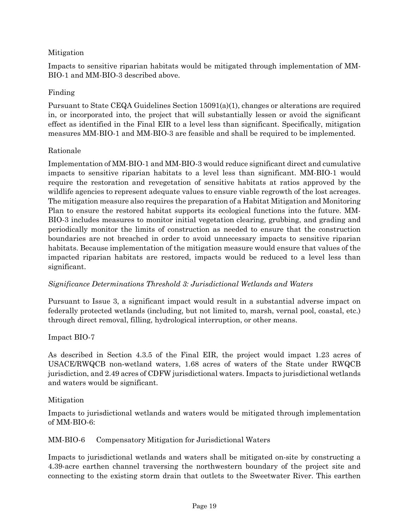# Mitigation

Impacts to sensitive riparian habitats would be mitigated through implementation of MM-BIO-1 and MM-BIO-3 described above.

### Finding

Pursuant to State CEQA Guidelines Section 15091(a)(1), changes or alterations are required in, or incorporated into, the project that will substantially lessen or avoid the significant effect as identified in the Final EIR to a level less than significant. Specifically, mitigation measures MM-BIO-1 and MM-BIO-3 are feasible and shall be required to be implemented.

# Rationale

Implementation of MM-BIO-1 and MM-BIO-3 would reduce significant direct and cumulative impacts to sensitive riparian habitats to a level less than significant. MM-BIO-1 would require the restoration and revegetation of sensitive habitats at ratios approved by the wildlife agencies to represent adequate values to ensure viable regrowth of the lost acreages. The mitigation measure also requires the preparation of a Habitat Mitigation and Monitoring Plan to ensure the restored habitat supports its ecological functions into the future. MM-BIO-3 includes measures to monitor initial vegetation clearing, grubbing, and grading and periodically monitor the limits of construction as needed to ensure that the construction boundaries are not breached in order to avoid unnecessary impacts to sensitive riparian habitats. Because implementation of the mitigation measure would ensure that values of the impacted riparian habitats are restored, impacts would be reduced to a level less than significant.

#### *Significance Determinations Threshold 3: Jurisdictional Wetlands and Waters*

Pursuant to Issue 3, a significant impact would result in a substantial adverse impact on federally protected wetlands (including, but not limited to, marsh, vernal pool, coastal, etc.) through direct removal, filling, hydrological interruption, or other means.

#### Impact BIO-7

As described in Section 4.3.5 of the Final EIR, the project would impact 1.23 acres of USACE/RWQCB non‐wetland waters, 1.68 acres of waters of the State under RWQCB jurisdiction, and 2.49 acres of CDFW jurisdictional waters. Impacts to jurisdictional wetlands and waters would be significant.

#### Mitigation

Impacts to jurisdictional wetlands and waters would be mitigated through implementation of MM-BIO-6:

#### MM-BIO-6 Compensatory Mitigation for Jurisdictional Waters

Impacts to jurisdictional wetlands and waters shall be mitigated on-site by constructing a 4.39-acre earthen channel traversing the northwestern boundary of the project site and connecting to the existing storm drain that outlets to the Sweetwater River. This earthen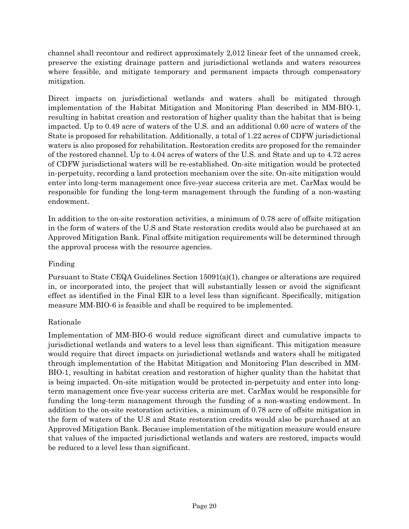channel shall recontour and redirect approximately 2,012 linear feet of the unnamed creek, preserve the existing drainage pattern and jurisdictional wetlands and waters resources where feasible, and mitigate temporary and permanent impacts through compensatory mitigation.

Direct impacts on jurisdictional wetlands and waters shall be mitigated through implementation of the Habitat Mitigation and Monitoring Plan described in MM-BIO-1, resulting in habitat creation and restoration of higher quality than the habitat that is being impacted. Up to 0.49 acre of waters of the U.S. and an additional 0.60 acre of waters of the State is proposed for rehabilitation. Additionally, a total of 1.22 acres of CDFW jurisdictional waters is also proposed for rehabilitation. Restoration credits are proposed for the remainder of the restored channel. Up to 4.04 acres of waters of the U.S. and State and up to 4.72 acres of CDFW jurisdictional waters will be re-established. On-site mitigation would be protected in-perpetuity, recording a land protection mechanism over the site. On-site mitigation would enter into long-term management once five-year success criteria are met. CarMax would be responsible for funding the long-term management through the funding of a non-wasting endowment.

In addition to the on-site restoration activities, a minimum of 0.78 acre of offsite mitigation in the form of waters of the U.S and State restoration credits would also be purchased at an Approved Mitigation Bank. Final offsite mitigation requirements will be determined through the approval process with the resource agencies.

# Finding

Pursuant to State CEQA Guidelines Section 15091(a)(1), changes or alterations are required in, or incorporated into, the project that will substantially lessen or avoid the significant effect as identified in the Final EIR to a level less than significant. Specifically, mitigation measure MM-BIO-6 is feasible and shall be required to be implemented.

# Rationale

Implementation of MM-BIO-6 would reduce significant direct and cumulative impacts to jurisdictional wetlands and waters to a level less than significant. This mitigation measure would require that direct impacts on jurisdictional wetlands and waters shall be mitigated through implementation of the Habitat Mitigation and Monitoring Plan described in MM-BIO-1, resulting in habitat creation and restoration of higher quality than the habitat that is being impacted. On-site mitigation would be protected in-perpetuity and enter into longterm management once five-year success criteria are met. CarMax would be responsible for funding the long-term management through the funding of a non-wasting endowment. In addition to the on-site restoration activities, a minimum of 0.78 acre of offsite mitigation in the form of waters of the U.S and State restoration credits would also be purchased at an Approved Mitigation Bank. Because implementation of the mitigation measure would ensure that values of the impacted jurisdictional wetlands and waters are restored, impacts would be reduced to a level less than significant.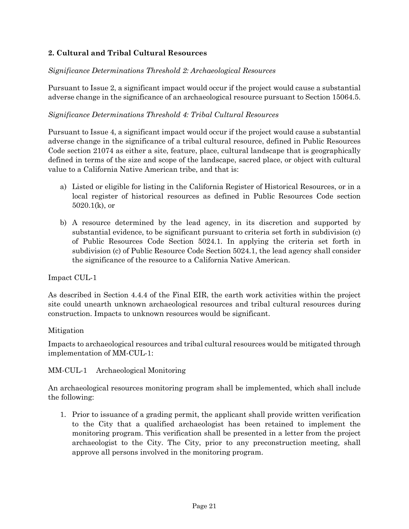# **2. Cultural and Tribal Cultural Resources**

# *Significance Determinations Threshold 2: Archaeological Resources*

Pursuant to Issue 2, a significant impact would occur if the project would cause a substantial adverse change in the significance of an archaeological resource pursuant to Section 15064.5.

#### *Significance Determinations Threshold 4: Tribal Cultural Resources*

Pursuant to Issue 4, a significant impact would occur if the project would cause a substantial adverse change in the significance of a tribal cultural resource, defined in Public Resources Code section 21074 as either a site, feature, place, cultural landscape that is geographically defined in terms of the size and scope of the landscape, sacred place, or object with cultural value to a California Native American tribe, and that is:

- a) Listed or eligible for listing in the California Register of Historical Resources, or in a local register of historical resources as defined in Public Resources Code section 5020.1(k), or
- b) A resource determined by the lead agency, in its discretion and supported by substantial evidence, to be significant pursuant to criteria set forth in subdivision (c) of Public Resources Code Section 5024.1. In applying the criteria set forth in subdivision (c) of Public Resource Code Section 5024.1, the lead agency shall consider the significance of the resource to a California Native American.

Impact CUL-1

As described in Section 4.4.4 of the Final EIR, the earth work activities within the project site could unearth unknown archaeological resources and tribal cultural resources during construction. Impacts to unknown resources would be significant.

#### Mitigation

Impacts to archaeological resources and tribal cultural resources would be mitigated through implementation of MM-CUL-1:

#### MM-CUL-1 Archaeological Monitoring

An archaeological resources monitoring program shall be implemented, which shall include the following:

1. Prior to issuance of a grading permit, the applicant shall provide written verification to the City that a qualified archaeologist has been retained to implement the monitoring program. This verification shall be presented in a letter from the project archaeologist to the City. The City, prior to any preconstruction meeting, shall approve all persons involved in the monitoring program.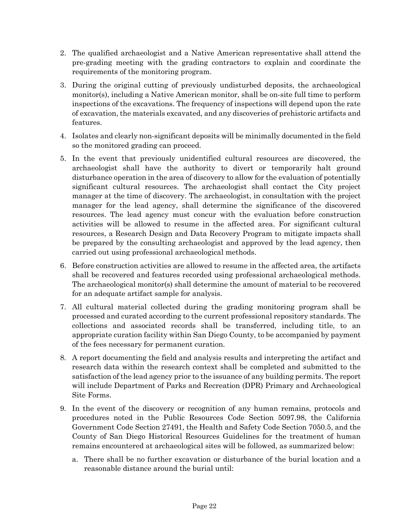- 2. The qualified archaeologist and a Native American representative shall attend the pre-grading meeting with the grading contractors to explain and coordinate the requirements of the monitoring program.
- 3. During the original cutting of previously undisturbed deposits, the archaeological monitor(s), including a Native American monitor, shall be on-site full time to perform inspections of the excavations. The frequency of inspections will depend upon the rate of excavation, the materials excavated, and any discoveries of prehistoric artifacts and features.
- 4. Isolates and clearly non-significant deposits will be minimally documented in the field so the monitored grading can proceed.
- 5. In the event that previously unidentified cultural resources are discovered, the archaeologist shall have the authority to divert or temporarily halt ground disturbance operation in the area of discovery to allow for the evaluation of potentially significant cultural resources. The archaeologist shall contact the City project manager at the time of discovery. The archaeologist, in consultation with the project manager for the lead agency, shall determine the significance of the discovered resources. The lead agency must concur with the evaluation before construction activities will be allowed to resume in the affected area. For significant cultural resources, a Research Design and Data Recovery Program to mitigate impacts shall be prepared by the consulting archaeologist and approved by the lead agency, then carried out using professional archaeological methods.
- 6. Before construction activities are allowed to resume in the affected area, the artifacts shall be recovered and features recorded using professional archaeological methods. The archaeological monitor(s) shall determine the amount of material to be recovered for an adequate artifact sample for analysis.
- 7. All cultural material collected during the grading monitoring program shall be processed and curated according to the current professional repository standards. The collections and associated records shall be transferred, including title, to an appropriate curation facility within San Diego County, to be accompanied by payment of the fees necessary for permanent curation.
- 8. A report documenting the field and analysis results and interpreting the artifact and research data within the research context shall be completed and submitted to the satisfaction of the lead agency prior to the issuance of any building permits. The report will include Department of Parks and Recreation (DPR) Primary and Archaeological Site Forms.
- 9. In the event of the discovery or recognition of any human remains, protocols and procedures noted in the Public Resources Code Section 5097.98, the California Government Code Section 27491, the Health and Safety Code Section 7050.5, and the County of San Diego Historical Resources Guidelines for the treatment of human remains encountered at archaeological sites will be followed, as summarized below:
	- a. There shall be no further excavation or disturbance of the burial location and a reasonable distance around the burial until: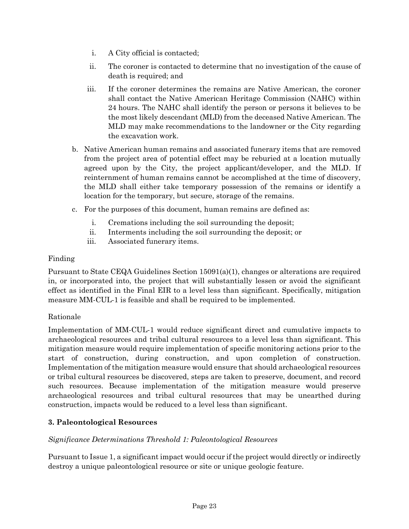- i. A City official is contacted;
- ii. The coroner is contacted to determine that no investigation of the cause of death is required; and
- iii. If the coroner determines the remains are Native American, the coroner shall contact the Native American Heritage Commission (NAHC) within 24 hours. The NAHC shall identify the person or persons it believes to be the most likely descendant (MLD) from the deceased Native American. The MLD may make recommendations to the landowner or the City regarding the excavation work.
- b. Native American human remains and associated funerary items that are removed from the project area of potential effect may be reburied at a location mutually agreed upon by the City, the project applicant/developer, and the MLD. If reinternment of human remains cannot be accomplished at the time of discovery, the MLD shall either take temporary possession of the remains or identify a location for the temporary, but secure, storage of the remains.
- c. For the purposes of this document, human remains are defined as:
	- i. Cremations including the soil surrounding the deposit;
	- ii. Interments including the soil surrounding the deposit; or
	- iii. Associated funerary items.

# Finding

Pursuant to State CEQA Guidelines Section 15091(a)(1), changes or alterations are required in, or incorporated into, the project that will substantially lessen or avoid the significant effect as identified in the Final EIR to a level less than significant. Specifically, mitigation measure MM-CUL-1 is feasible and shall be required to be implemented.

#### Rationale

Implementation of MM-CUL-1 would reduce significant direct and cumulative impacts to archaeological resources and tribal cultural resources to a level less than significant. This mitigation measure would require implementation of specific monitoring actions prior to the start of construction, during construction, and upon completion of construction. Implementation of the mitigation measure would ensure that should archaeological resources or tribal cultural resources be discovered, steps are taken to preserve, document, and record such resources. Because implementation of the mitigation measure would preserve archaeological resources and tribal cultural resources that may be unearthed during construction, impacts would be reduced to a level less than significant.

# **3. Paleontological Resources**

#### *Significance Determinations Threshold 1: Paleontological Resources*

Pursuant to Issue 1, a significant impact would occur if the project would directly or indirectly destroy a unique paleontological resource or site or unique geologic feature.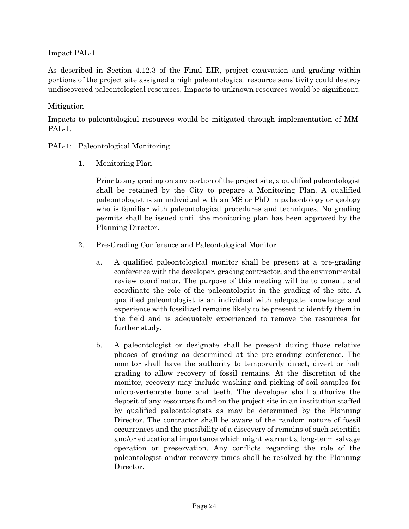Impact PAL-1

As described in Section 4.12.3 of the Final EIR, project excavation and grading within portions of the project site assigned a high paleontological resource sensitivity could destroy undiscovered paleontological resources. Impacts to unknown resources would be significant.

# Mitigation

Impacts to paleontological resources would be mitigated through implementation of MM-PAL-1.

- PAL-1: Paleontological Monitoring
	- 1. Monitoring Plan

Prior to any grading on any portion of the project site, a qualified paleontologist shall be retained by the City to prepare a Monitoring Plan. A qualified paleontologist is an individual with an MS or PhD in paleontology or geology who is familiar with paleontological procedures and techniques. No grading permits shall be issued until the monitoring plan has been approved by the Planning Director.

- 2. Pre-Grading Conference and Paleontological Monitor
	- a. A qualified paleontological monitor shall be present at a pre-grading conference with the developer, grading contractor, and the environmental review coordinator. The purpose of this meeting will be to consult and coordinate the role of the paleontologist in the grading of the site. A qualified paleontologist is an individual with adequate knowledge and experience with fossilized remains likely to be present to identify them in the field and is adequately experienced to remove the resources for further study.
	- b. A paleontologist or designate shall be present during those relative phases of grading as determined at the pre-grading conference. The monitor shall have the authority to temporarily direct, divert or halt grading to allow recovery of fossil remains. At the discretion of the monitor, recovery may include washing and picking of soil samples for micro-vertebrate bone and teeth. The developer shall authorize the deposit of any resources found on the project site in an institution staffed by qualified paleontologists as may be determined by the Planning Director. The contractor shall be aware of the random nature of fossil occurrences and the possibility of a discovery of remains of such scientific and/or educational importance which might warrant a long-term salvage operation or preservation. Any conflicts regarding the role of the paleontologist and/or recovery times shall be resolved by the Planning Director.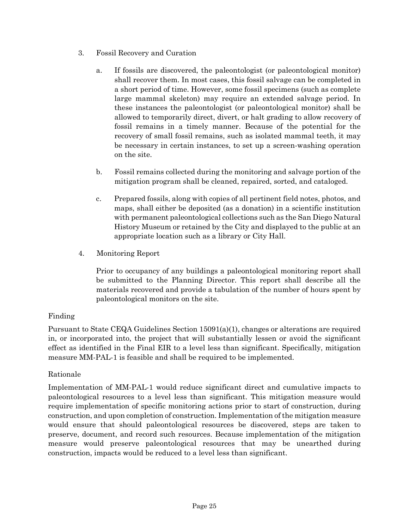- 3. Fossil Recovery and Curation
	- a. If fossils are discovered, the paleontologist (or paleontological monitor) shall recover them. In most cases, this fossil salvage can be completed in a short period of time. However, some fossil specimens (such as complete large mammal skeleton) may require an extended salvage period. In these instances the paleontologist (or paleontological monitor) shall be allowed to temporarily direct, divert, or halt grading to allow recovery of fossil remains in a timely manner. Because of the potential for the recovery of small fossil remains, such as isolated mammal teeth, it may be necessary in certain instances, to set up a screen-washing operation on the site.
	- b. Fossil remains collected during the monitoring and salvage portion of the mitigation program shall be cleaned, repaired, sorted, and cataloged.
	- c. Prepared fossils, along with copies of all pertinent field notes, photos, and maps, shall either be deposited (as a donation) in a scientific institution with permanent paleontological collections such as the San Diego Natural History Museum or retained by the City and displayed to the public at an appropriate location such as a library or City Hall.
- 4. Monitoring Report

Prior to occupancy of any buildings a paleontological monitoring report shall be submitted to the Planning Director. This report shall describe all the materials recovered and provide a tabulation of the number of hours spent by paleontological monitors on the site.

# Finding

Pursuant to State CEQA Guidelines Section 15091(a)(1), changes or alterations are required in, or incorporated into, the project that will substantially lessen or avoid the significant effect as identified in the Final EIR to a level less than significant. Specifically, mitigation measure MM-PAL-1 is feasible and shall be required to be implemented.

# Rationale

Implementation of MM-PAL-1 would reduce significant direct and cumulative impacts to paleontological resources to a level less than significant. This mitigation measure would require implementation of specific monitoring actions prior to start of construction, during construction, and upon completion of construction. Implementation of the mitigation measure would ensure that should paleontological resources be discovered, steps are taken to preserve, document, and record such resources. Because implementation of the mitigation measure would preserve paleontological resources that may be unearthed during construction, impacts would be reduced to a level less than significant.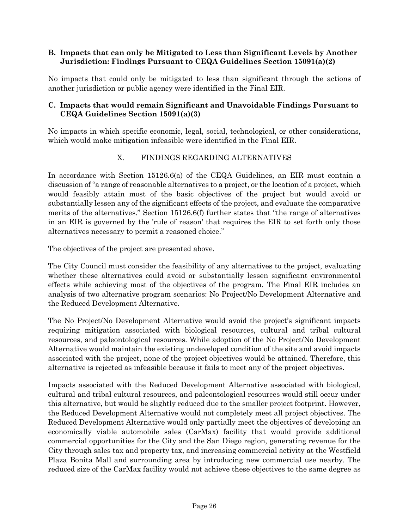# **B. Impacts that can only be Mitigated to Less than Significant Levels by Another Jurisdiction: Findings Pursuant to CEQA Guidelines Section 15091(a)(2)**

No impacts that could only be mitigated to less than significant through the actions of another jurisdiction or public agency were identified in the Final EIR.

# **C. Impacts that would remain Significant and Unavoidable Findings Pursuant to CEQA Guidelines Section 15091(a)(3)**

No impacts in which specific economic, legal, social, technological, or other considerations, which would make mitigation infeasible were identified in the Final EIR.

# X. FINDINGS REGARDING ALTERNATIVES

In accordance with Section 15126.6(a) of the CEQA Guidelines, an EIR must contain a discussion of "a range of reasonable alternatives to a project, or the location of a project, which would feasibly attain most of the basic objectives of the project but would avoid or substantially lessen any of the significant effects of the project, and evaluate the comparative merits of the alternatives." Section 15126.6(f) further states that "the range of alternatives in an EIR is governed by the 'rule of reason' that requires the EIR to set forth only those alternatives necessary to permit a reasoned choice."

The objectives of the project are presented above.

The City Council must consider the feasibility of any alternatives to the project, evaluating whether these alternatives could avoid or substantially lessen significant environmental effects while achieving most of the objectives of the program. The Final EIR includes an analysis of two alternative program scenarios: No Project/No Development Alternative and the Reduced Development Alternative.

The No Project/No Development Alternative would avoid the project's significant impacts requiring mitigation associated with biological resources, cultural and tribal cultural resources, and paleontological resources. While adoption of the No Project/No Development Alternative would maintain the existing undeveloped condition of the site and avoid impacts associated with the project, none of the project objectives would be attained. Therefore, this alternative is rejected as infeasible because it fails to meet any of the project objectives.

Impacts associated with the Reduced Development Alternative associated with biological, cultural and tribal cultural resources, and paleontological resources would still occur under this alternative, but would be slightly reduced due to the smaller project footprint. However, the Reduced Development Alternative would not completely meet all project objectives. The Reduced Development Alternative would only partially meet the objectives of developing an economically viable automobile sales (CarMax) facility that would provide additional commercial opportunities for the City and the San Diego region, generating revenue for the City through sales tax and property tax, and increasing commercial activity at the Westfield Plaza Bonita Mall and surrounding area by introducing new commercial use nearby. The reduced size of the CarMax facility would not achieve these objectives to the same degree as